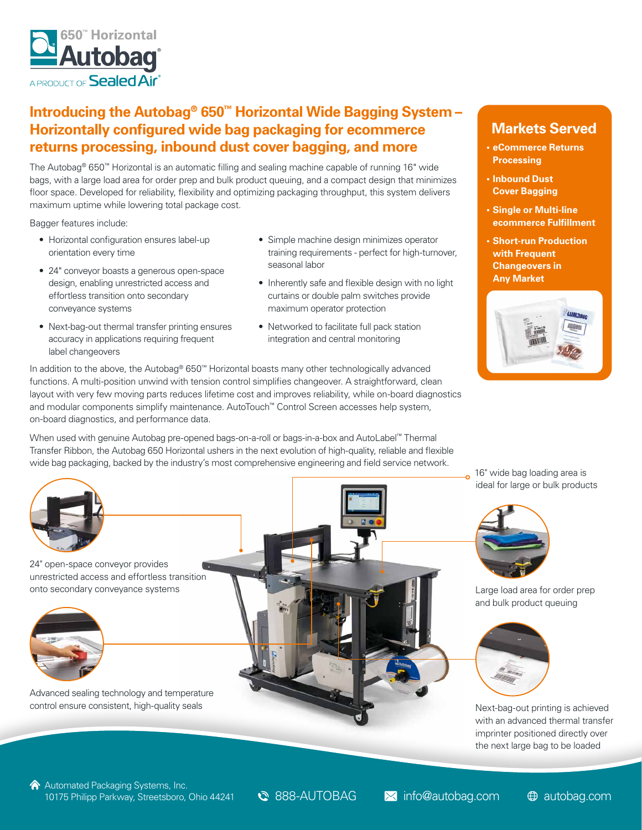

## **Introducing the Autobag® 650™ Horizontal Wide Bagging System – Horizontally configured wide bag packaging for ecommerce returns processing, inbound dust cover bagging, and more**

The Autobag® 650™ Horizontal is an automatic filling and sealing machine capable of running 16" wide bags, with a large load area for order prep and bulk product queuing, and a compact design that minimizes floor space. Developed for reliability, flexibility and optimizing packaging throughput, this system delivers maximum uptime while lowering total package cost.

Bagger features include:

- Horizontal configuration ensures label-up orientation every time
- 24" conveyor boasts a generous open-space design, enabling unrestricted access and effortless transition onto secondary conveyance systems
- Next-bag-out thermal transfer printing ensures accuracy in applications requiring frequent label changeovers
- Simple machine design minimizes operator training requirements - perfect for high-turnover, seasonal labor
- Inherently safe and flexible design with no light curtains or double palm switches provide maximum operator protection
- Networked to facilitate full pack station integration and central monitoring

In addition to the above, the Autobag® 650™ Horizontal boasts many other technologically advanced functions. A multi-position unwind with tension control simplifies changeover. A straightforward, clean layout with very few moving parts reduces lifetime cost and improves reliability, while on-board diagnostics and modular components simplify maintenance. AutoTouch™ Control Screen accesses help system, on-board diagnostics, and performance data.

When used with genuine Autobag pre-opened bags-on-a-roll or bags-in-a-box and AutoLabel™ Thermal Transfer Ribbon, the Autobag 650 Horizontal ushers in the next evolution of high-quality, reliable and flexible wide bag packaging, backed by the industry's most comprehensive engineering and field service network.



24" open-space conveyor provides unrestricted access and effortless transition onto secondary conveyance systems



Advanced sealing technology and temperature control ensure consistent, high-quality seals



## **Markets Served**

- **• eCommerce Returns Processing**
- **• Inbound Dust Cover Bagging**
- **• Single or Multi-line ecommerce Fulfillment**
- **• Short-run Production with Frequent Changeovers in Any Market**



16" wide bag loading area is ideal for large or bulk products



Large load area for order prep and bulk product queuing



Next-bag-out printing is achieved with an advanced thermal transfer imprinter positioned directly over the next large bag to be loaded